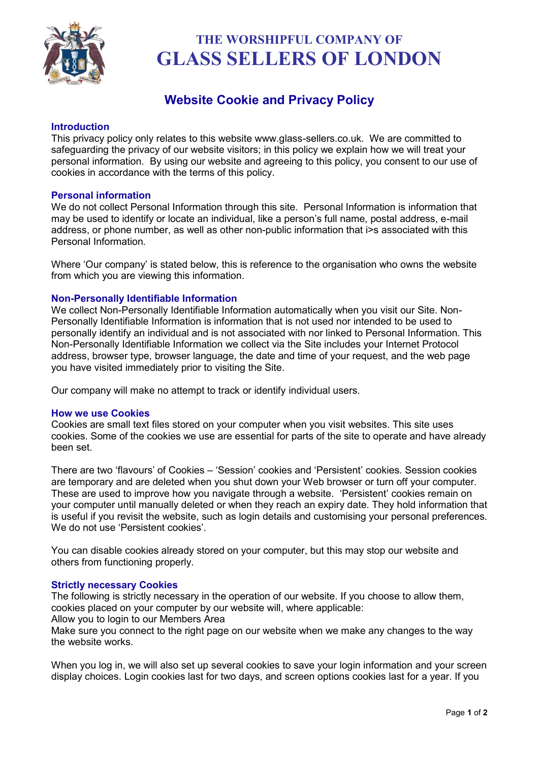

# **THE WORSHIPFUL COMPANY OF GLASS SELLERS OF LONDON**

## **Website Cookie and Privacy Policy**

#### **Introduction**

This privacy policy only relates to this website www.glass-sellers.co.uk. We are committed to safeguarding the privacy of our website visitors; in this policy we explain how we will treat your personal information. By using our website and agreeing to this policy, you consent to our use of cookies in accordance with the terms of this policy.

#### **Personal information**

We do not collect Personal Information through this site. Personal Information is information that may be used to identify or locate an individual, like a person's full name, postal address, e-mail address, or phone number, as well as other non-public information that i>s associated with this Personal Information.

Where 'Our company' is stated below, this is reference to the organisation who owns the website from which you are viewing this information.

### **Non-Personally Identifiable Information**

We collect Non-Personally Identifiable Information automatically when you visit our Site. Non-Personally Identifiable Information is information that is not used nor intended to be used to personally identify an individual and is not associated with nor linked to Personal Information. This Non-Personally Identifiable Information we collect via the Site includes your Internet Protocol address, browser type, browser language, the date and time of your request, and the web page you have visited immediately prior to visiting the Site.

Our company will make no attempt to track or identify individual users.

#### **How we use Cookies**

Cookies are small text files stored on your computer when you visit websites. This site uses cookies. Some of the cookies we use are essential for parts of the site to operate and have already been set.

There are two 'flavours' of Cookies – 'Session' cookies and 'Persistent' cookies. Session cookies are temporary and are deleted when you shut down your Web browser or turn off your computer. These are used to improve how you navigate through a website. 'Persistent' cookies remain on your computer until manually deleted or when they reach an expiry date. They hold information that is useful if you revisit the website, such as login details and customising your personal preferences. We do not use 'Persistent cookies'.

You can disable cookies already stored on your computer, but this may stop our website and others from functioning properly.

#### **Strictly necessary Cookies**

The following is strictly necessary in the operation of our website. If you choose to allow them, cookies placed on your computer by our website will, where applicable:

Allow you to login to our Members Area

Make sure you connect to the right page on our website when we make any changes to the way the website works.

When you log in, we will also set up several cookies to save your login information and your screen display choices. Login cookies last for two days, and screen options cookies last for a year. If you